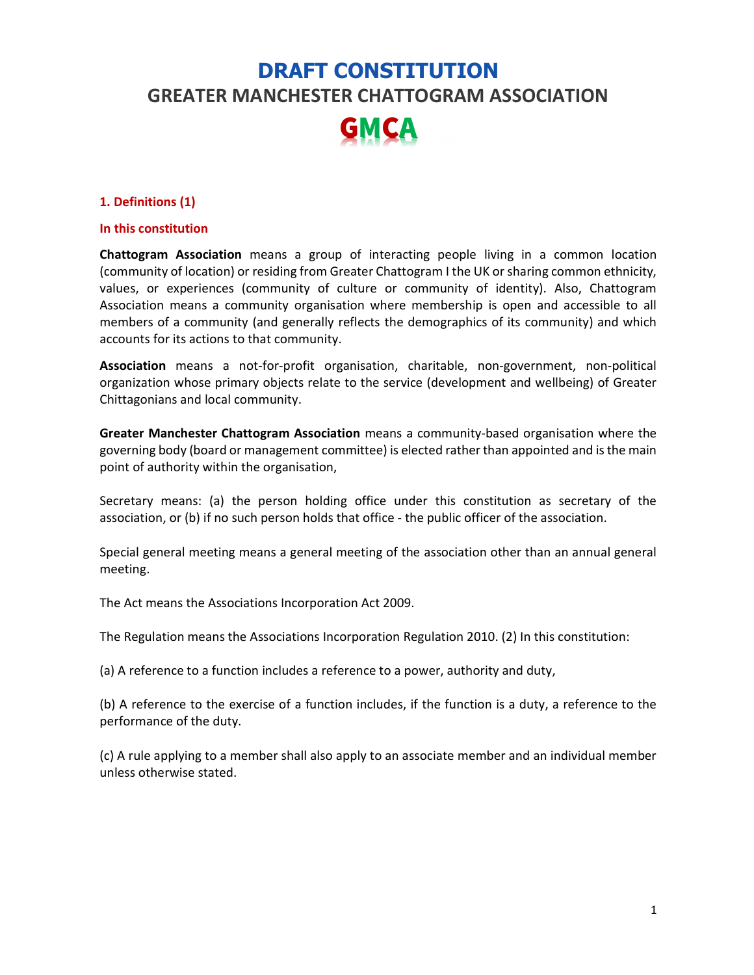# DRAFT CONSTITUTION GREATER MANCHESTER CHATTOGRAM ASSOCIATION GMCA

#### 1. Definitions (1)

#### In this constitution

Chattogram Association means a group of interacting people living in a common location (community of location) or residing from Greater Chattogram I the UK or sharing common ethnicity, values, or experiences (community of culture or community of identity). Also, Chattogram Association means a community organisation where membership is open and accessible to all members of a community (and generally reflects the demographics of its community) and which accounts for its actions to that community.

Association means a not-for-profit organisation, charitable, non-government, non-political organization whose primary objects relate to the service (development and wellbeing) of Greater Chittagonians and local community.

Greater Manchester Chattogram Association means a community-based organisation where the governing body (board or management committee) is elected rather than appointed and is the main point of authority within the organisation,

Secretary means: (a) the person holding office under this constitution as secretary of the association, or (b) if no such person holds that office - the public officer of the association.

Special general meeting means a general meeting of the association other than an annual general meeting.

The Act means the Associations Incorporation Act 2009.

The Regulation means the Associations Incorporation Regulation 2010. (2) In this constitution:

(a) A reference to a function includes a reference to a power, authority and duty,

(b) A reference to the exercise of a function includes, if the function is a duty, a reference to the performance of the duty.

(c) A rule applying to a member shall also apply to an associate member and an individual member unless otherwise stated.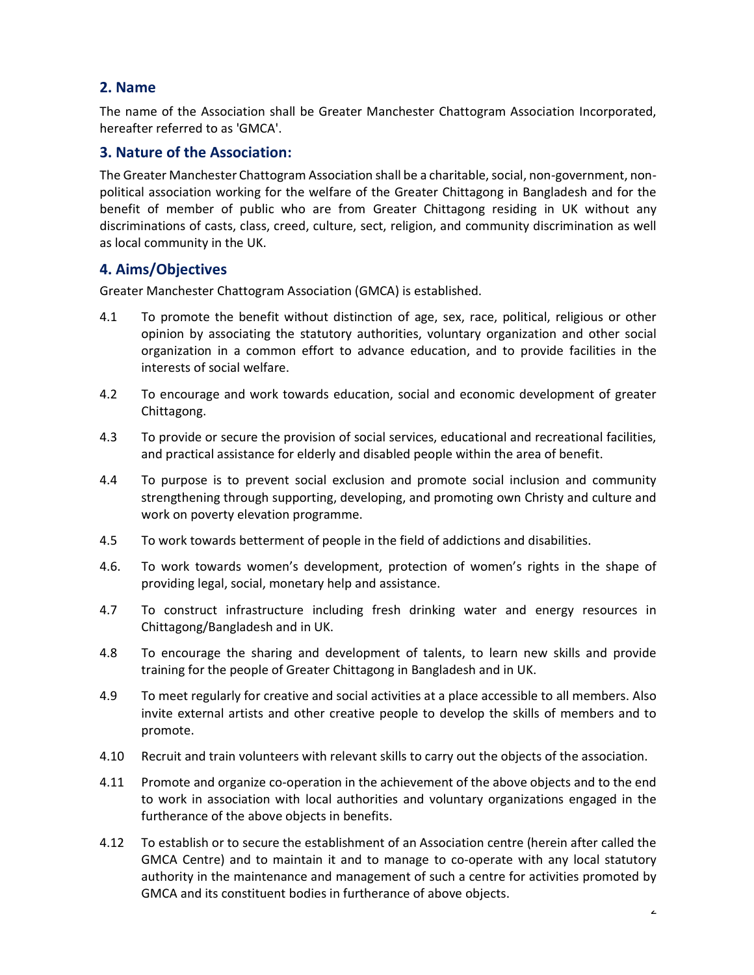## 2. Name

The name of the Association shall be Greater Manchester Chattogram Association Incorporated, hereafter referred to as 'GMCA'.

### 3. Nature of the Association:

The Greater Manchester Chattogram Association shall be a charitable, social, non-government, nonpolitical association working for the welfare of the Greater Chittagong in Bangladesh and for the benefit of member of public who are from Greater Chittagong residing in UK without any discriminations of casts, class, creed, culture, sect, religion, and community discrimination as well as local community in the UK.

## 4. Aims/Objectives

Greater Manchester Chattogram Association (GMCA) is established.

- 4.1 To promote the benefit without distinction of age, sex, race, political, religious or other opinion by associating the statutory authorities, voluntary organization and other social organization in a common effort to advance education, and to provide facilities in the interests of social welfare.
- 4.2 To encourage and work towards education, social and economic development of greater Chittagong.
- 4.3 To provide or secure the provision of social services, educational and recreational facilities, and practical assistance for elderly and disabled people within the area of benefit.
- 4.4 To purpose is to prevent social exclusion and promote social inclusion and community strengthening through supporting, developing, and promoting own Christy and culture and work on poverty elevation programme.
- 4.5 To work towards betterment of people in the field of addictions and disabilities.
- 4.6. To work towards women's development, protection of women's rights in the shape of providing legal, social, monetary help and assistance.
- 4.7 To construct infrastructure including fresh drinking water and energy resources in Chittagong/Bangladesh and in UK.
- 4.8 To encourage the sharing and development of talents, to learn new skills and provide training for the people of Greater Chittagong in Bangladesh and in UK.
- 4.9 To meet regularly for creative and social activities at a place accessible to all members. Also invite external artists and other creative people to develop the skills of members and to promote.
- 4.10 Recruit and train volunteers with relevant skills to carry out the objects of the association.
- 4.11 Promote and organize co-operation in the achievement of the above objects and to the end to work in association with local authorities and voluntary organizations engaged in the furtherance of the above objects in benefits.
- 4.12 To establish or to secure the establishment of an Association centre (herein after called the GMCA Centre) and to maintain it and to manage to co-operate with any local statutory authority in the maintenance and management of such a centre for activities promoted by GMCA and its constituent bodies in furtherance of above objects.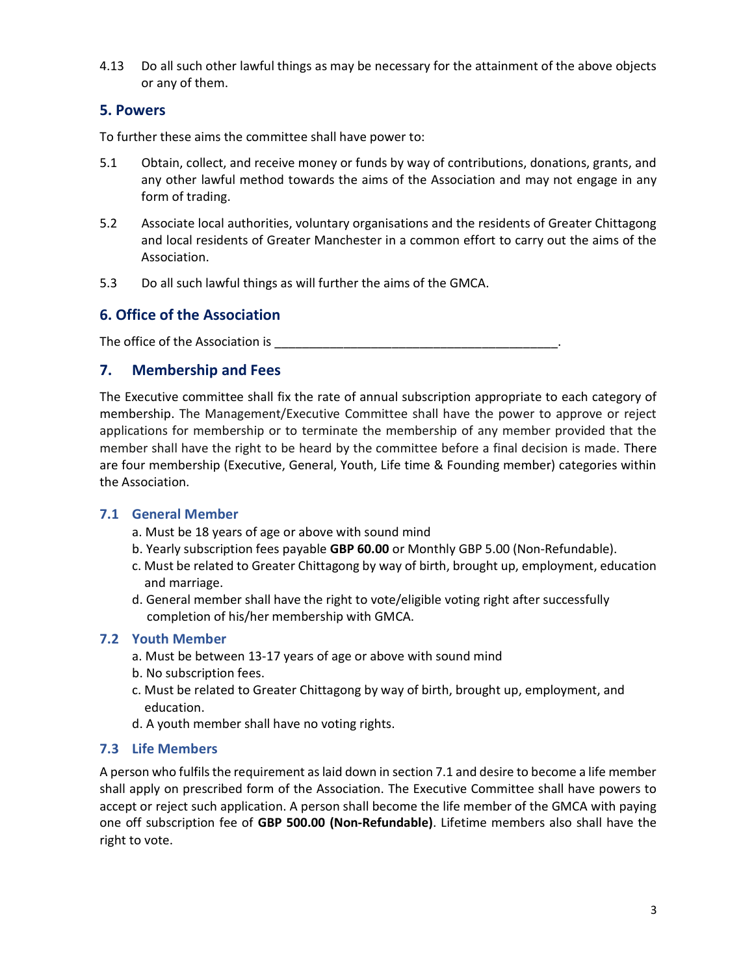4.13 Do all such other lawful things as may be necessary for the attainment of the above objects or any of them.

## 5. Powers

To further these aims the committee shall have power to:

- 5.1 Obtain, collect, and receive money or funds by way of contributions, donations, grants, and any other lawful method towards the aims of the Association and may not engage in any form of trading.
- 5.2 Associate local authorities, voluntary organisations and the residents of Greater Chittagong and local residents of Greater Manchester in a common effort to carry out the aims of the Association.
- 5.3 Do all such lawful things as will further the aims of the GMCA.

## 6. Office of the Association

The office of the Association is \_\_\_\_\_\_\_\_\_\_\_\_\_\_\_\_\_\_\_\_\_\_\_\_\_\_\_\_\_\_\_\_\_\_\_\_\_\_\_\_\_.

## 7. Membership and Fees

The Executive committee shall fix the rate of annual subscription appropriate to each category of membership. The Management/Executive Committee shall have the power to approve or reject applications for membership or to terminate the membership of any member provided that the member shall have the right to be heard by the committee before a final decision is made. There are four membership (Executive, General, Youth, Life time & Founding member) categories within the Association.

#### 7.1 General Member

- a. Must be 18 years of age or above with sound mind
- b. Yearly subscription fees payable GBP 60.00 or Monthly GBP 5.00 (Non-Refundable).
- c. Must be related to Greater Chittagong by way of birth, brought up, employment, education and marriage.
- d. General member shall have the right to vote/eligible voting right after successfully completion of his/her membership with GMCA.

#### 7.2 Youth Member

- a. Must be between 13-17 years of age or above with sound mind
- b. No subscription fees.
- c. Must be related to Greater Chittagong by way of birth, brought up, employment, and education.
- d. A youth member shall have no voting rights.

#### 7.3 Life Members

A person who fulfils the requirement as laid down in section 7.1 and desire to become a life member shall apply on prescribed form of the Association. The Executive Committee shall have powers to accept or reject such application. A person shall become the life member of the GMCA with paying one off subscription fee of GBP 500.00 (Non-Refundable). Lifetime members also shall have the right to vote.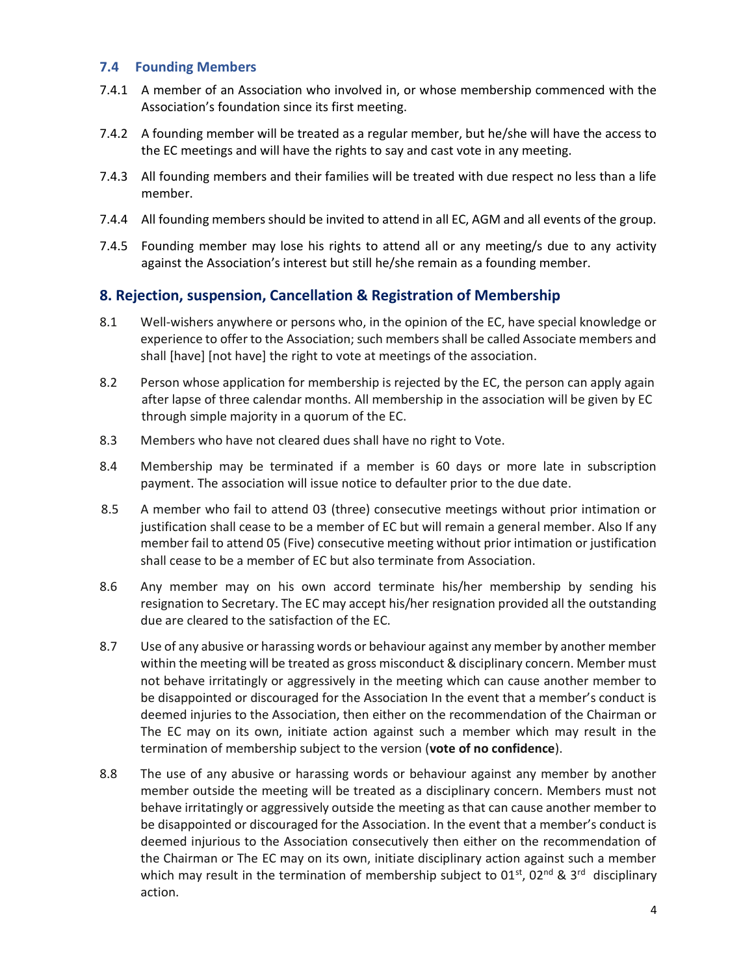#### 7.4 Founding Members

- 7.4.1 A member of an Association who involved in, or whose membership commenced with the Association's foundation since its first meeting.
- 7.4.2 A founding member will be treated as a regular member, but he/she will have the access to the EC meetings and will have the rights to say and cast vote in any meeting.
- 7.4.3 All founding members and their families will be treated with due respect no less than a life member.
- 7.4.4 All founding members should be invited to attend in all EC, AGM and all events of the group.
- 7.4.5 Founding member may lose his rights to attend all or any meeting/s due to any activity against the Association's interest but still he/she remain as a founding member.

## 8. Rejection, suspension, Cancellation & Registration of Membership

- 8.1 Well-wishers anywhere or persons who, in the opinion of the EC, have special knowledge or experience to offer to the Association; such members shall be called Associate members and shall [have] [not have] the right to vote at meetings of the association.
- 8.2 Person whose application for membership is rejected by the EC, the person can apply again after lapse of three calendar months. All membership in the association will be given by EC through simple majority in a quorum of the EC.
- 8.3 Members who have not cleared dues shall have no right to Vote.
- 8.4 Membership may be terminated if a member is 60 days or more late in subscription payment. The association will issue notice to defaulter prior to the due date.
- 8.5 A member who fail to attend 03 (three) consecutive meetings without prior intimation or justification shall cease to be a member of EC but will remain a general member. Also If any member fail to attend 05 (Five) consecutive meeting without prior intimation or justification shall cease to be a member of EC but also terminate from Association.
- 8.6 Any member may on his own accord terminate his/her membership by sending his resignation to Secretary. The EC may accept his/her resignation provided all the outstanding due are cleared to the satisfaction of the EC.
- 8.7 Use of any abusive or harassing words or behaviour against any member by another member within the meeting will be treated as gross misconduct & disciplinary concern. Member must not behave irritatingly or aggressively in the meeting which can cause another member to be disappointed or discouraged for the Association In the event that a member's conduct is deemed injuries to the Association, then either on the recommendation of the Chairman or The EC may on its own, initiate action against such a member which may result in the termination of membership subject to the version (vote of no confidence).
- 8.8 The use of any abusive or harassing words or behaviour against any member by another member outside the meeting will be treated as a disciplinary concern. Members must not behave irritatingly or aggressively outside the meeting as that can cause another member to be disappointed or discouraged for the Association. In the event that a member's conduct is deemed injurious to the Association consecutively then either on the recommendation of the Chairman or The EC may on its own, initiate disciplinary action against such a member which may result in the termination of membership subject to  $01<sup>st</sup>$ ,  $02<sup>nd</sup>$  &  $3<sup>rd</sup>$  disciplinary action.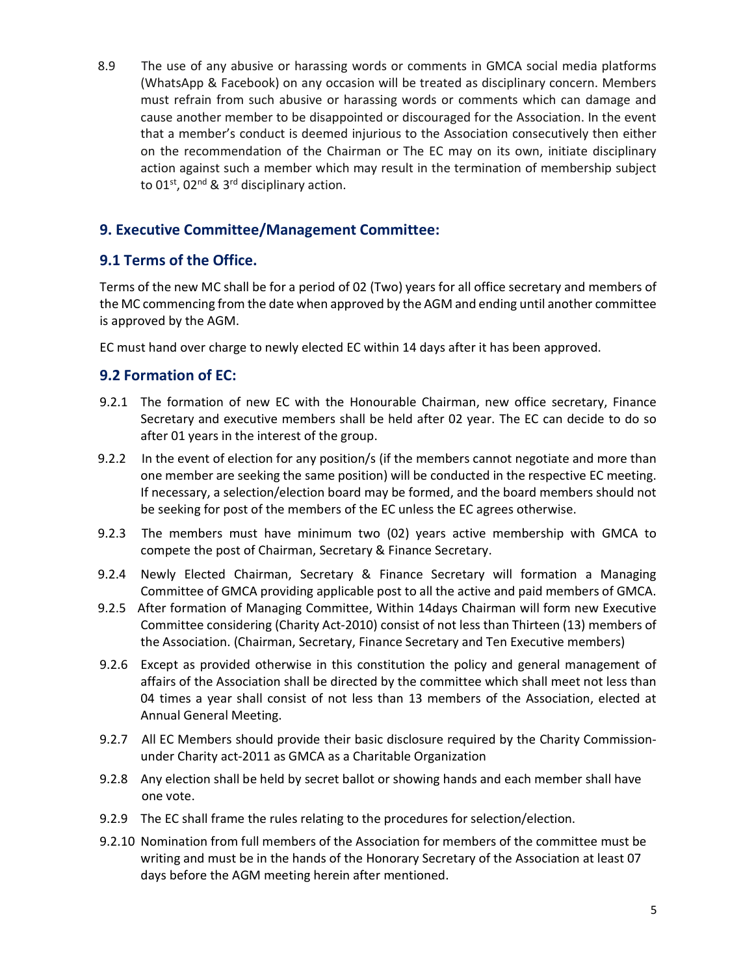8.9 The use of any abusive or harassing words or comments in GMCA social media platforms (WhatsApp & Facebook) on any occasion will be treated as disciplinary concern. Members must refrain from such abusive or harassing words or comments which can damage and cause another member to be disappointed or discouraged for the Association. In the event that a member's conduct is deemed injurious to the Association consecutively then either on the recommendation of the Chairman or The EC may on its own, initiate disciplinary action against such a member which may result in the termination of membership subject to  $01<sup>st</sup>$ ,  $02<sup>nd</sup>$  &  $3<sup>rd</sup>$  disciplinary action.

## 9. Executive Committee/Management Committee:

## 9.1 Terms of the Office.

Terms of the new MC shall be for a period of 02 (Two) years for all office secretary and members of the MC commencing from the date when approved by the AGM and ending until another committee is approved by the AGM.

EC must hand over charge to newly elected EC within 14 days after it has been approved.

## 9.2 Formation of EC:

- 9.2.1 The formation of new EC with the Honourable Chairman, new office secretary, Finance Secretary and executive members shall be held after 02 year. The EC can decide to do so after 01 years in the interest of the group.
- 9.2.2 In the event of election for any position/s (if the members cannot negotiate and more than one member are seeking the same position) will be conducted in the respective EC meeting. If necessary, a selection/election board may be formed, and the board members should not be seeking for post of the members of the EC unless the EC agrees otherwise.
- 9.2.3 The members must have minimum two (02) years active membership with GMCA to compete the post of Chairman, Secretary & Finance Secretary.
- 9.2.4 Newly Elected Chairman, Secretary & Finance Secretary will formation a Managing Committee of GMCA providing applicable post to all the active and paid members of GMCA.
- 9.2.5 After formation of Managing Committee, Within 14days Chairman will form new Executive Committee considering (Charity Act-2010) consist of not less than Thirteen (13) members of the Association. (Chairman, Secretary, Finance Secretary and Ten Executive members)
- 9.2.6 Except as provided otherwise in this constitution the policy and general management of affairs of the Association shall be directed by the committee which shall meet not less than 04 times a year shall consist of not less than 13 members of the Association, elected at Annual General Meeting.
- 9.2.7 All EC Members should provide their basic disclosure required by the Charity Commissionunder Charity act-2011 as GMCA as a Charitable Organization
- 9.2.8 Any election shall be held by secret ballot or showing hands and each member shall have one vote.
- 9.2.9 The EC shall frame the rules relating to the procedures for selection/election.
- 9.2.10 Nomination from full members of the Association for members of the committee must be writing and must be in the hands of the Honorary Secretary of the Association at least 07 days before the AGM meeting herein after mentioned.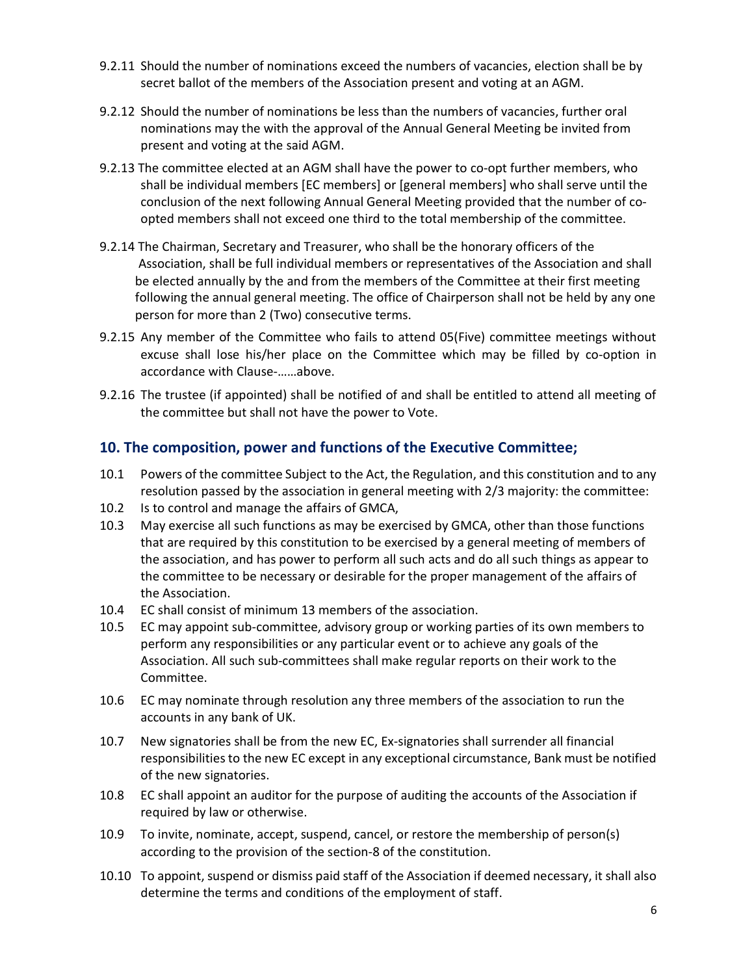- 9.2.11 Should the number of nominations exceed the numbers of vacancies, election shall be by secret ballot of the members of the Association present and voting at an AGM.
- 9.2.12 Should the number of nominations be less than the numbers of vacancies, further oral nominations may the with the approval of the Annual General Meeting be invited from present and voting at the said AGM.
- 9.2.13 The committee elected at an AGM shall have the power to co-opt further members, who shall be individual members [EC members] or [general members] who shall serve until the conclusion of the next following Annual General Meeting provided that the number of co opted members shall not exceed one third to the total membership of the committee.
- 9.2.14 The Chairman, Secretary and Treasurer, who shall be the honorary officers of the Association, shall be full individual members or representatives of the Association and shall be elected annually by the and from the members of the Committee at their first meeting following the annual general meeting. The office of Chairperson shall not be held by any one person for more than 2 (Two) consecutive terms.
- 9.2.15 Any member of the Committee who fails to attend 05(Five) committee meetings without excuse shall lose his/her place on the Committee which may be filled by co-option in accordance with Clause-……above.
- 9.2.16 The trustee (if appointed) shall be notified of and shall be entitled to attend all meeting of the committee but shall not have the power to Vote.

## 10. The composition, power and functions of the Executive Committee;

- 10.1 Powers of the committee Subject to the Act, the Regulation, and this constitution and to any resolution passed by the association in general meeting with 2/3 majority: the committee:
- 10.2 Is to control and manage the affairs of GMCA,
- 10.3 May exercise all such functions as may be exercised by GMCA, other than those functions that are required by this constitution to be exercised by a general meeting of members of the association, and has power to perform all such acts and do all such things as appear to the committee to be necessary or desirable for the proper management of the affairs of the Association.
- 10.4 EC shall consist of minimum 13 members of the association.
- 10.5 EC may appoint sub-committee, advisory group or working parties of its own members to perform any responsibilities or any particular event or to achieve any goals of the Association. All such sub-committees shall make regular reports on their work to the Committee.
- 10.6 EC may nominate through resolution any three members of the association to run the accounts in any bank of UK.
- 10.7 New signatories shall be from the new EC, Ex-signatories shall surrender all financial responsibilities to the new EC except in any exceptional circumstance, Bank must be notified of the new signatories.
- 10.8 EC shall appoint an auditor for the purpose of auditing the accounts of the Association if required by law or otherwise.
- 10.9 To invite, nominate, accept, suspend, cancel, or restore the membership of person(s) according to the provision of the section-8 of the constitution.
- 10.10 To appoint, suspend or dismiss paid staff of the Association if deemed necessary, it shall also determine the terms and conditions of the employment of staff.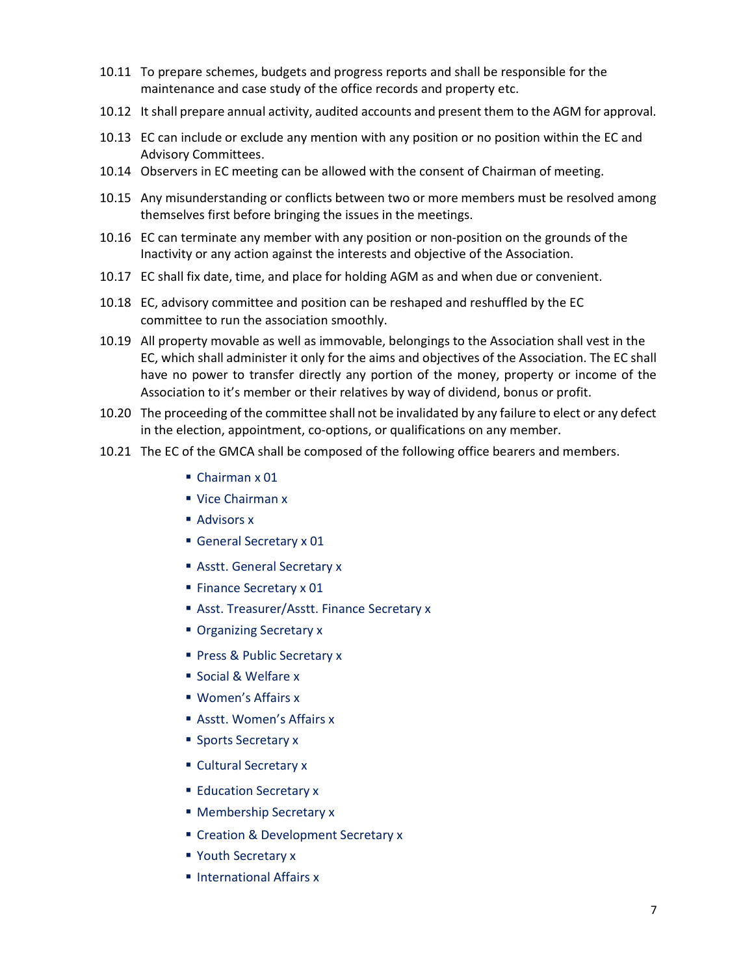- 10.11 To prepare schemes, budgets and progress reports and shall be responsible for the maintenance and case study of the office records and property etc.
- 10.12 It shall prepare annual activity, audited accounts and present them to the AGM for approval.
- 10.13 EC can include or exclude any mention with any position or no position within the EC and Advisory Committees.
- 10.14 Observers in EC meeting can be allowed with the consent of Chairman of meeting.
- 10.15 Any misunderstanding or conflicts between two or more members must be resolved among themselves first before bringing the issues in the meetings.
- 10.16 EC can terminate any member with any position or non-position on the grounds of the Inactivity or any action against the interests and objective of the Association.
- 10.17 EC shall fix date, time, and place for holding AGM as and when due or convenient.
- 10.18 EC, advisory committee and position can be reshaped and reshuffled by the EC committee to run the association smoothly.
- 10.19 All property movable as well as immovable, belongings to the Association shall vest in the EC, which shall administer it only for the aims and objectives of the Association. The EC shall have no power to transfer directly any portion of the money, property or income of the Association to it's member or their relatives by way of dividend, bonus or profit.
- 10.20 The proceeding of the committee shall not be invalidated by any failure to elect or any defect in the election, appointment, co-options, or qualifications on any member.
- 10.21 The EC of the GMCA shall be composed of the following office bearers and members.
	- Chairman x 01
	- Vice Chairman x
	- Advisors x
	- General Secretary x 01
	- Asstt. General Secretary x
	- **Finance Secretary x 01**
	- **Asst. Treasurer/Asstt. Finance Secretary x**
	- **Organizing Secretary x**
	- Press & Public Secretary x
	- Social & Welfare x
	- **Women's Affairs x**
	- Asstt. Women's Affairs x
	- **Sports Secretary x**
	- **Cultural Secretary x**
	- **Education Secretary x**
	- **Membership Secretary x**
	- Creation & Development Secretary x
	- **Youth Secretary x**
	- **International Affairs x**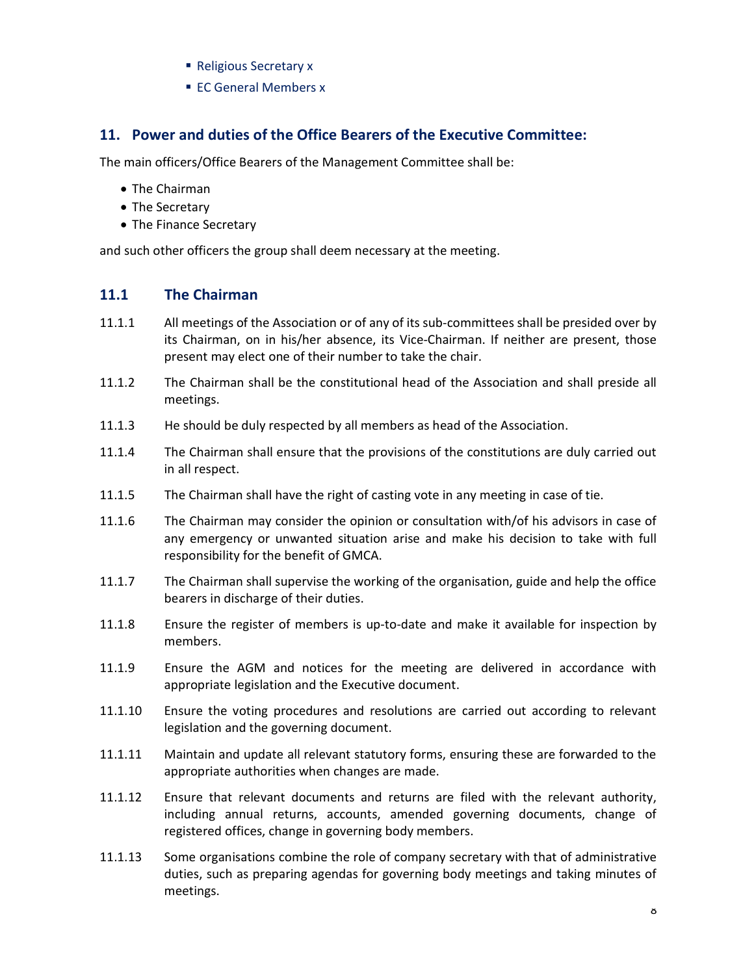- Religious Secretary x
- **EC General Members x**

### 11. Power and duties of the Office Bearers of the Executive Committee:

The main officers/Office Bearers of the Management Committee shall be:

- The Chairman
- The Secretary
- The Finance Secretary

and such other officers the group shall deem necessary at the meeting.

#### 11.1 The Chairman

- 11.1.1 All meetings of the Association or of any of its sub-committees shall be presided over by its Chairman, on in his/her absence, its Vice-Chairman. If neither are present, those present may elect one of their number to take the chair.
- 11.1.2 The Chairman shall be the constitutional head of the Association and shall preside all meetings.
- 11.1.3 He should be duly respected by all members as head of the Association.
- 11.1.4 The Chairman shall ensure that the provisions of the constitutions are duly carried out in all respect.
- 11.1.5 The Chairman shall have the right of casting vote in any meeting in case of tie.
- 11.1.6 The Chairman may consider the opinion or consultation with/of his advisors in case of any emergency or unwanted situation arise and make his decision to take with full responsibility for the benefit of GMCA.
- 11.1.7 The Chairman shall supervise the working of the organisation, guide and help the office bearers in discharge of their duties.
- 11.1.8 Ensure the register of members is up-to-date and make it available for inspection by members.
- 11.1.9 Ensure the AGM and notices for the meeting are delivered in accordance with appropriate legislation and the Executive document.
- 11.1.10 Ensure the voting procedures and resolutions are carried out according to relevant legislation and the governing document.
- 11.1.11 Maintain and update all relevant statutory forms, ensuring these are forwarded to the appropriate authorities when changes are made.
- 11.1.12 Ensure that relevant documents and returns are filed with the relevant authority, including annual returns, accounts, amended governing documents, change of registered offices, change in governing body members.
- 11.1.13 Some organisations combine the role of company secretary with that of administrative duties, such as preparing agendas for governing body meetings and taking minutes of meetings.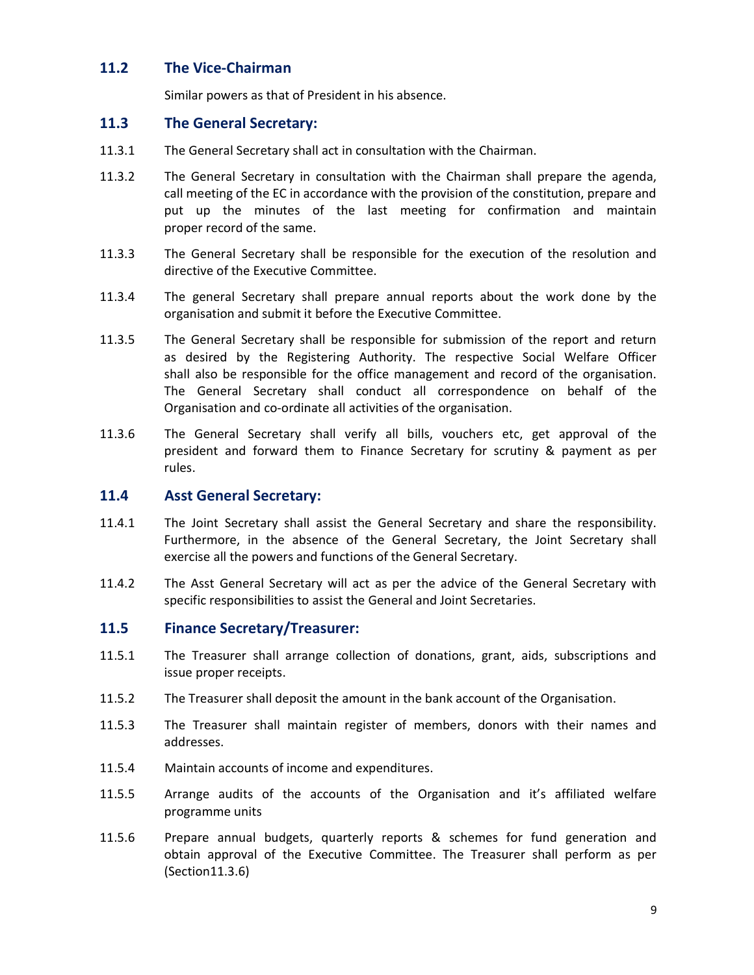### 11.2 The Vice-Chairman

Similar powers as that of President in his absence.

#### 11.3 The General Secretary:

- 11.3.1 The General Secretary shall act in consultation with the Chairman.
- 11.3.2 The General Secretary in consultation with the Chairman shall prepare the agenda, call meeting of the EC in accordance with the provision of the constitution, prepare and put up the minutes of the last meeting for confirmation and maintain proper record of the same.
- 11.3.3 The General Secretary shall be responsible for the execution of the resolution and directive of the Executive Committee.
- 11.3.4 The general Secretary shall prepare annual reports about the work done by the organisation and submit it before the Executive Committee.
- 11.3.5 The General Secretary shall be responsible for submission of the report and return as desired by the Registering Authority. The respective Social Welfare Officer shall also be responsible for the office management and record of the organisation. The General Secretary shall conduct all correspondence on behalf of the Organisation and co-ordinate all activities of the organisation.
- 11.3.6 The General Secretary shall verify all bills, vouchers etc, get approval of the president and forward them to Finance Secretary for scrutiny & payment as per rules.

#### 11.4 Asst General Secretary:

- 11.4.1 The Joint Secretary shall assist the General Secretary and share the responsibility. Furthermore, in the absence of the General Secretary, the Joint Secretary shall exercise all the powers and functions of the General Secretary.
- 11.4.2 The Asst General Secretary will act as per the advice of the General Secretary with specific responsibilities to assist the General and Joint Secretaries.

#### 11.5 Finance Secretary/Treasurer:

- 11.5.1 The Treasurer shall arrange collection of donations, grant, aids, subscriptions and issue proper receipts.
- 11.5.2 The Treasurer shall deposit the amount in the bank account of the Organisation.
- 11.5.3 The Treasurer shall maintain register of members, donors with their names and addresses.
- 11.5.4 Maintain accounts of income and expenditures.
- 11.5.5 Arrange audits of the accounts of the Organisation and it's affiliated welfare programme units
- 11.5.6 Prepare annual budgets, quarterly reports & schemes for fund generation and obtain approval of the Executive Committee. The Treasurer shall perform as per (Section11.3.6)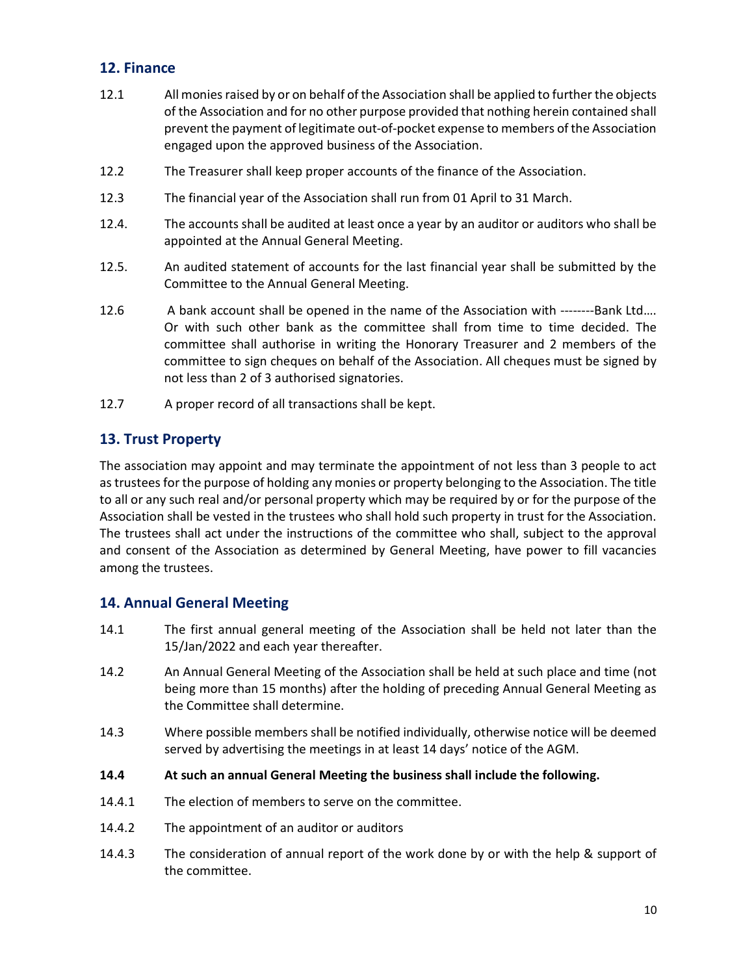## 12. Finance

- 12.1 All monies raised by or on behalf of the Association shall be applied to further the objects of the Association and for no other purpose provided that nothing herein contained shall prevent the payment of legitimate out-of-pocket expense to members of the Association engaged upon the approved business of the Association.
- 12.2 The Treasurer shall keep proper accounts of the finance of the Association.
- 12.3 The financial year of the Association shall run from 01 April to 31 March.
- 12.4. The accounts shall be audited at least once a year by an auditor or auditors who shall be appointed at the Annual General Meeting.
- 12.5. An audited statement of accounts for the last financial year shall be submitted by the Committee to the Annual General Meeting.
- 12.6 A bank account shall be opened in the name of the Association with --------Bank Ltd…. Or with such other bank as the committee shall from time to time decided. The committee shall authorise in writing the Honorary Treasurer and 2 members of the committee to sign cheques on behalf of the Association. All cheques must be signed by not less than 2 of 3 authorised signatories.
- 12.7 A proper record of all transactions shall be kept.

## 13. Trust Property

The association may appoint and may terminate the appointment of not less than 3 people to act as trustees for the purpose of holding any monies or property belonging to the Association. The title to all or any such real and/or personal property which may be required by or for the purpose of the Association shall be vested in the trustees who shall hold such property in trust for the Association. The trustees shall act under the instructions of the committee who shall, subject to the approval and consent of the Association as determined by General Meeting, have power to fill vacancies among the trustees.

## 14. Annual General Meeting

- 14.1 The first annual general meeting of the Association shall be held not later than the 15/Jan/2022 and each year thereafter.
- 14.2 An Annual General Meeting of the Association shall be held at such place and time (not being more than 15 months) after the holding of preceding Annual General Meeting as the Committee shall determine.
- 14.3 Where possible members shall be notified individually, otherwise notice will be deemed served by advertising the meetings in at least 14 days' notice of the AGM.
- 14.4 At such an annual General Meeting the business shall include the following.
- 14.4.1 The election of members to serve on the committee.
- 14.4.2 The appointment of an auditor or auditors
- 14.4.3 The consideration of annual report of the work done by or with the help & support of the committee.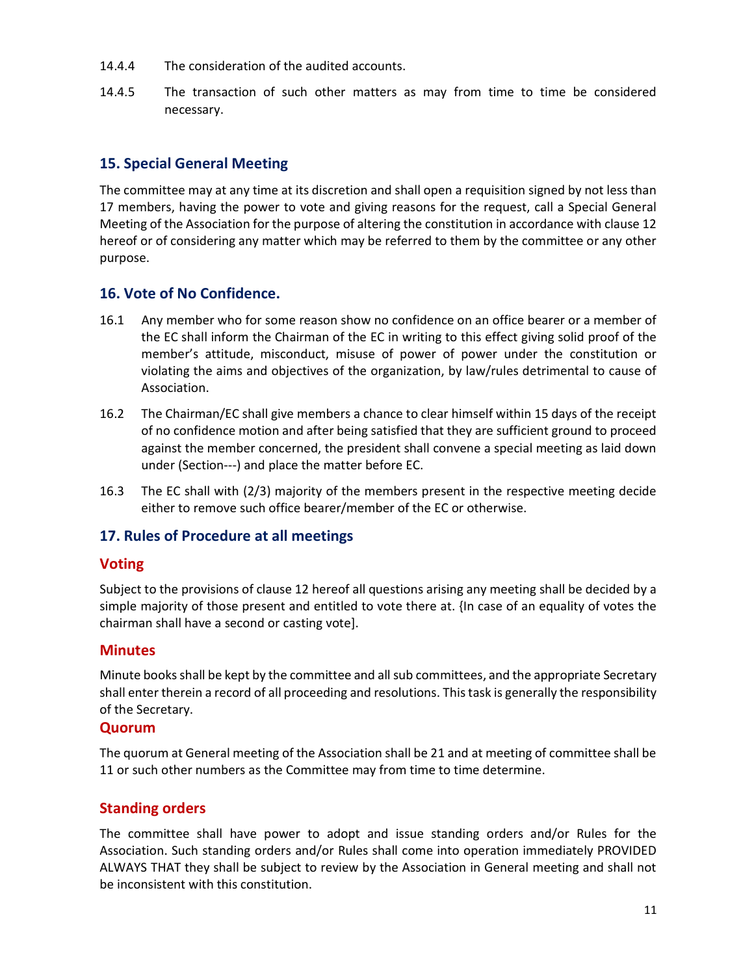- 14.4.4 The consideration of the audited accounts.
- 14.4.5 The transaction of such other matters as may from time to time be considered necessary.

## 15. Special General Meeting

The committee may at any time at its discretion and shall open a requisition signed by not less than 17 members, having the power to vote and giving reasons for the request, call a Special General Meeting of the Association for the purpose of altering the constitution in accordance with clause 12 hereof or of considering any matter which may be referred to them by the committee or any other purpose.

## 16. Vote of No Confidence.

- 16.1 Any member who for some reason show no confidence on an office bearer or a member of the EC shall inform the Chairman of the EC in writing to this effect giving solid proof of the member's attitude, misconduct, misuse of power of power under the constitution or violating the aims and objectives of the organization, by law/rules detrimental to cause of Association.
- 16.2 The Chairman/EC shall give members a chance to clear himself within 15 days of the receipt of no confidence motion and after being satisfied that they are sufficient ground to proceed against the member concerned, the president shall convene a special meeting as laid down under (Section---) and place the matter before EC.
- 16.3 The EC shall with (2/3) majority of the members present in the respective meeting decide either to remove such office bearer/member of the EC or otherwise.

## 17. Rules of Procedure at all meetings

## Voting

Subject to the provisions of clause 12 hereof all questions arising any meeting shall be decided by a simple majority of those present and entitled to vote there at. {In case of an equality of votes the chairman shall have a second or casting vote].

## **Minutes**

Minute books shall be kept by the committee and all sub committees, and the appropriate Secretary shall enter therein a record of all proceeding and resolutions. This task is generally the responsibility of the Secretary.

#### Quorum

The quorum at General meeting of the Association shall be 21 and at meeting of committee shall be 11 or such other numbers as the Committee may from time to time determine.

## Standing orders

The committee shall have power to adopt and issue standing orders and/or Rules for the Association. Such standing orders and/or Rules shall come into operation immediately PROVIDED ALWAYS THAT they shall be subject to review by the Association in General meeting and shall not be inconsistent with this constitution.